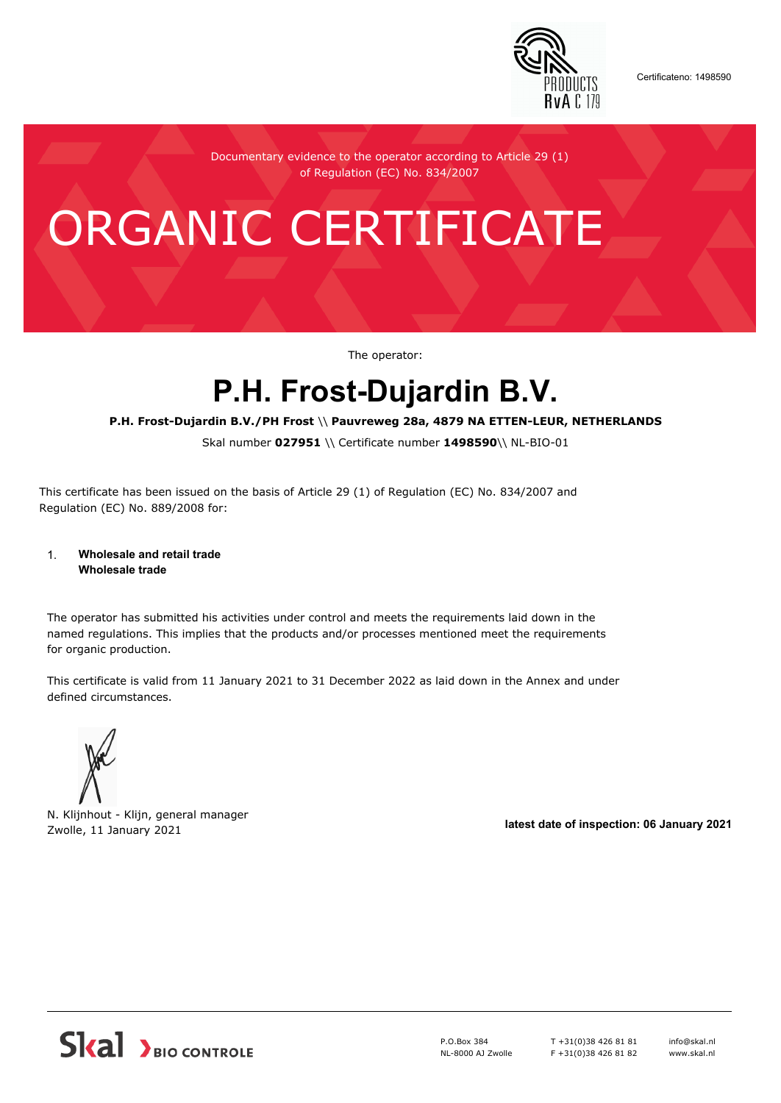

Certificateno: 1498590

Documentary evidence to the operator according to Article 29 (1) of Regulation (EC) No. 834/2007

# ORGANIC CERTIFICATE

The operator:

## **P.H. Frost-Dujardin B.V.**

#### **P.H. Frost-Dujardin B.V./PH Frost** \\ **Pauvreweg 28a, 4879 NA ETTEN-LEUR, NETHERLANDS**

Skal number **027951** \\ Certificate number **1498590**\\ NL-BIO-01

This certificate has been issued on the basis of Article 29 (1) of Regulation (EC) No. 834/2007 and Regulation (EC) No. 889/2008 for:

#### 1. **Wholesale and retail trade Wholesale trade**

The operator has submitted his activities under control and meets the requirements laid down in the named regulations. This implies that the products and/or processes mentioned meet the requirements for organic production.

This certificate is valid from 11 January 2021 to 31 December 2022 as laid down in the Annex and under defined circumstances.



N. Klijnhout - Klijn, general manager Zwolle, 11 January 2021 **latest date of inspection: 06 January 2021**



P.O.Box 384 NL-8000 AJ Zwolle